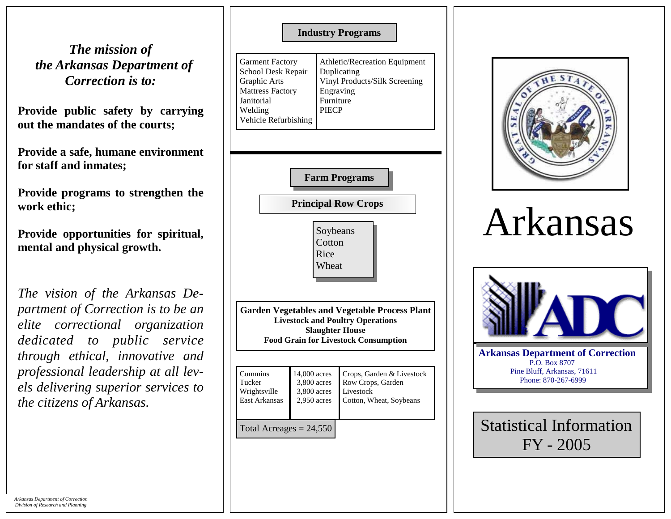*The mission of the Arkansas Department of Correction is to:* 

**Provide public safety by carrying out the mandates of the courts;** 

**Provide a safe, humane environment for staff and inmates;** 

**Provide programs to strengthen the work ethic;** 

**Provide opportunities for spiritual, mental and physical growth.** 

*The vision of the Arkansas Department of Correction is to be an elite correctional organization dedicated to public service through ethical, innovative and professional leadership at all levels delivering superior services to the citizens of Arkansas.*

## **Industry Programs**

Garment Factory School Desk Repair Graphic Arts Mattress Factory Janitorial Welding Vehicle Refurbishing Athletic/Recreation Equipment Duplicating Vinyl Products/Silk Screening Engraving Furniture PIECP



**Principal Row Crops** 

Soybeans **Cotton** Rice Wheat

**Garden Vegetables and Vegetable Process Plant Livestock and Poultry Operations Slaughter House Food Grain for Livestock Consumption** 

| Cummins                   | 14,000 acres  | Crops, Garden & Livestock |
|---------------------------|---------------|---------------------------|
| Tucker                    | 3,800 acres   | Row Crops, Garden         |
| Wrightsville              | 3,800 acres   | Livestock                 |
| East Arkansas             | $2,950$ acres | Cotton, Wheat, Soybeans   |
| Total Acreages = $24,550$ |               |                           |



## Arkansas



Statistical Information FY - 2005